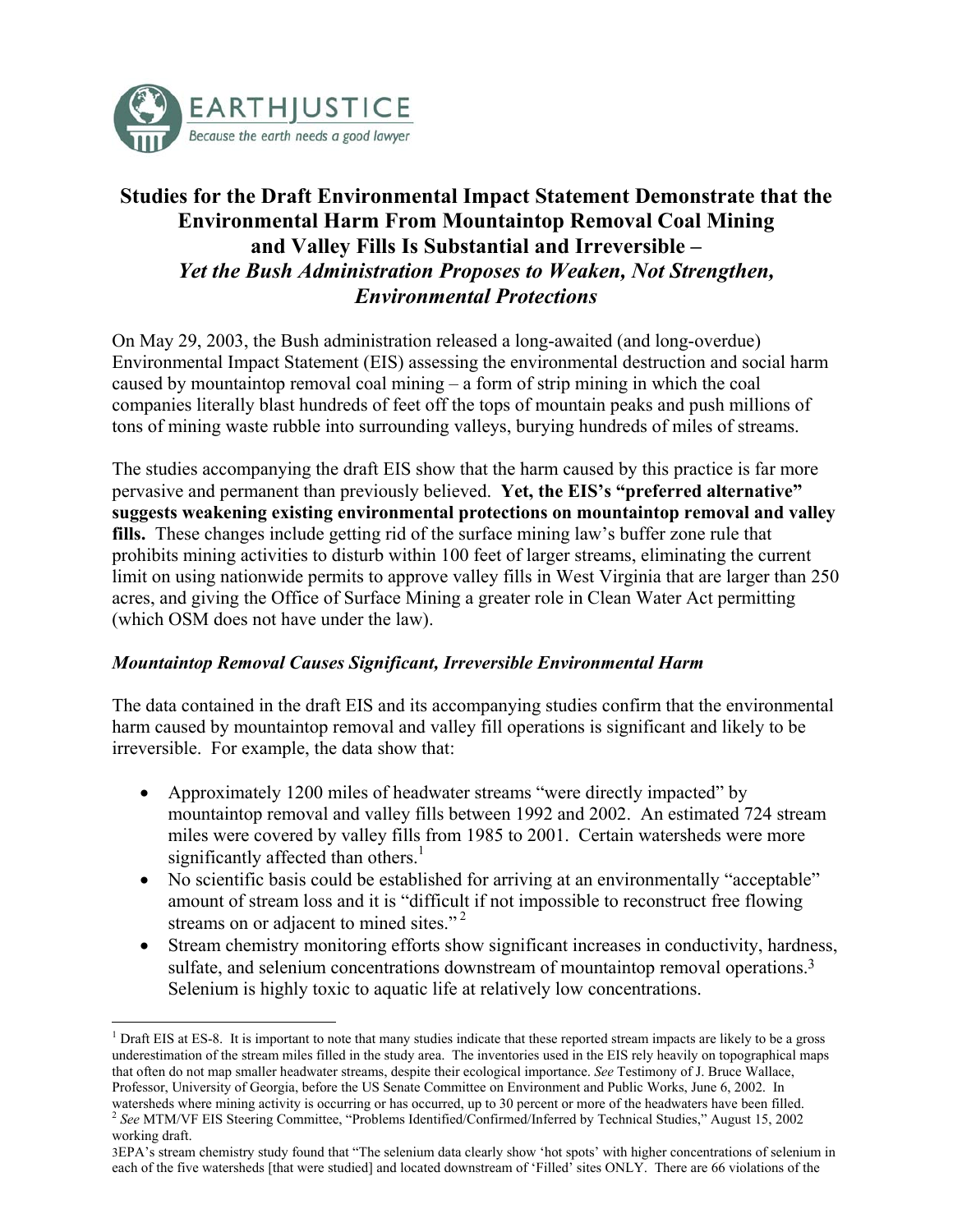<span id="page-0-2"></span>

 $\overline{a}$ 

# **Studies for the Draft Environmental Impact Statement Demonstrate that the Environmental Harm From Mountaintop Removal Coal Mining and Valley Fills Is Substantial and Irreversible –**  *Yet the Bush Administration Proposes to Weaken, Not Strengthen, Environmental Protections*

On May 29, 2003, the Bush administration released a long-awaited (and long-overdue) Environmental Impact Statement (EIS) assessing the environmental destruction and social harm caused by mountaintop removal coal mining – a form of strip mining in which the coal companies literally blast hundreds of feet off the tops of mountain peaks and push millions of tons of mining waste rubble into surrounding valleys, burying hundreds of miles of streams.

The studies accompanying the draft EIS show that the harm caused by this practice is far more pervasive and permanent than previously believed. **Yet, the EIS's "preferred alternative" suggests weakening existing environmental protections on mountaintop removal and valley fills.** These changes include getting rid of the surface mining law's buffer zone rule that prohibits mining activities to disturb within 100 feet of larger streams, eliminating the current limit on using nationwide permits to approve valley fills in West Virginia that are larger than 250 acres, and giving the Office of Surface Mining a greater role in Clean Water Act permitting (which OSM does not have under the law).

#### *Mountaintop Removal Causes Significant, Irreversible Environmental Harm*

The data contained in the draft EIS and its accompanying studies confirm that the environmental harm caused by mountaintop removal and valley fill operations is significant and likely to be irreversible. For example, the data show that:

- Approximately 1200 miles of headwater streams "were directly impacted" by mountaintop removal and valley fills between 1992 and 2002. An estimated 724 stream miles were covered by valley fills from 1985 to 2001. Certain watersheds were more significantly affected than others. $\frac{1}{1}$  $\frac{1}{1}$  $\frac{1}{1}$
- No scientific basis could be established for arriving at an environmentally "acceptable" amount of stream loss and it is "difficult if not impossible to reconstruct free flowing streams on or adjacent to mined sites."<sup>2</sup>
- Stream chemistry monitoring efforts show significant increases in conductivity, hardness, sulfate, and selenium concentrations downstream of mountaintop removal operations.<sup>[3](#page-0-2)</sup> Selenium is highly toxic to aquatic life at relatively low concentrations.

<span id="page-0-0"></span> $1$  Draft EIS at ES-8. It is important to note that many studies indicate that these reported stream impacts are likely to be a gross underestimation of the stream miles filled in the study area. The inventories used in the EIS rely heavily on topographical maps that often do not map smaller headwater streams, despite their ecological importance. *See* Testimony of J. Bruce Wallace, Professor, University of Georgia, before the US Senate Committee on Environment and Public Works, June 6, 2002. In watersheds where mining activity is occurring or has occurred, up to 30 percent or more of the headwaters h

<span id="page-0-1"></span><sup>&</sup>lt;sup>2</sup> See MTM/VF EIS Steering Committee, "Problems Identified/Confirmed/Inferred by Technical Studies," August 15, 2002 working draft.

<sup>3</sup>EPA's stream chemistry study found that "The selenium data clearly show 'hot spots' with higher concentrations of selenium in each of the five watersheds [that were studied] and located downstream of 'Filled' sites ONLY. There are 66 violations of the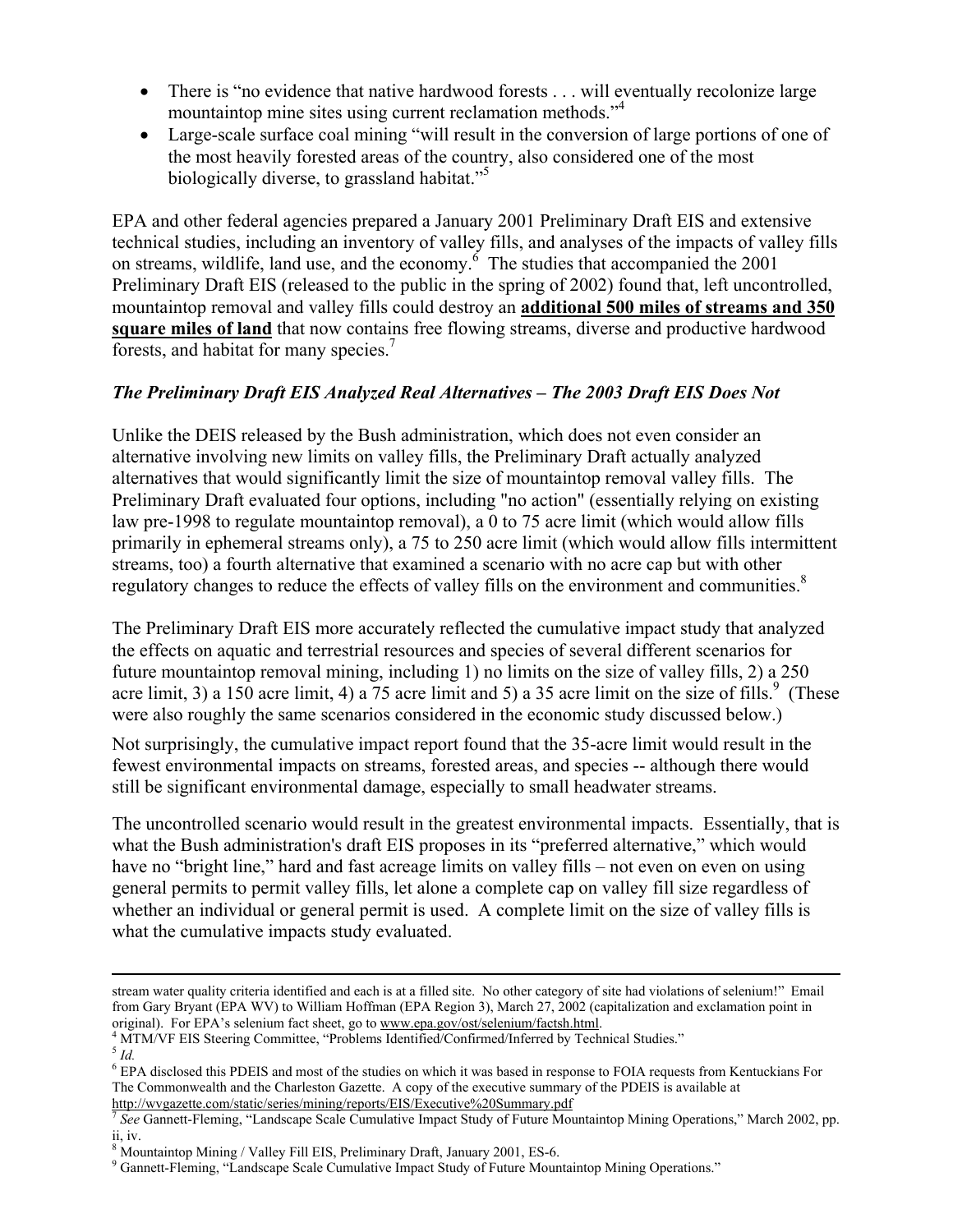- There is "no evidence that native hardwood forests . . . will eventually recolonize large mountaintop mine sites using current reclamation methods."[4](#page-1-0)
- Large-scale surface coal mining "will result in the conversion of large portions of one of the most heavily forested areas of the country, also considered one of the most biologically diverse, to grassland habitat."<sup>[5](#page-1-1)</sup>

EPA and other federal agencies prepared a January 2001 Preliminary Draft EIS and extensive technical studies, including an inventory of valley fills, and analyses of the impacts of valley fills on streams, wildlife, land use, and the economy.<sup>[6](#page-1-2)</sup> The studies that accompanied the 2001 Preliminary Draft EIS (released to the public in the spring of 2002) found that, left uncontrolled, mountaintop removal and valley fills could destroy an **additional 500 miles of streams and 350 square miles of land** that now contains free flowing streams, diverse and productive hardwood forests, and habitat for many species.<sup>[7](#page-1-3)</sup>

## *The Preliminary Draft EIS Analyzed Real Alternatives – The 2003 Draft EIS Does Not*

Unlike the DEIS released by the Bush administration, which does not even consider an alternative involving new limits on valley fills, the Preliminary Draft actually analyzed alternatives that would significantly limit the size of mountaintop removal valley fills. The Preliminary Draft evaluated four options, including "no action" (essentially relying on existing law pre-1998 to regulate mountaintop removal), a 0 to 75 acre limit (which would allow fills primarily in ephemeral streams only), a 75 to 250 acre limit (which would allow fills intermittent streams, too) a fourth alternative that examined a scenario with no acre cap but with other regulatory changes to reduce the effects of valley fills on the environment and communities.<sup>[8](#page-1-4)</sup>

The Preliminary Draft EIS more accurately reflected the cumulative impact study that analyzed the effects on aquatic and terrestrial resources and species of several different scenarios for future mountaintop removal mining, including 1) no limits on the size of valley fills, 2) a 250 acre limit, 3) a 150 acre limit, 4) a 75 acre limit and 5) a 35 acre limit on the size of fills.<sup>[9](#page-1-5)</sup> (These were also roughly the same scenarios considered in the economic study discussed below.)

Not surprisingly, the cumulative impact report found that the 35-acre limit would result in the fewest environmental impacts on streams, forested areas, and species -- although there would still be significant environmental damage, especially to small headwater streams.

The uncontrolled scenario would result in the greatest environmental impacts. Essentially, that is what the Bush administration's draft EIS proposes in its "preferred alternative," which would have no "bright line," hard and fast acreage limits on valley fills – not even on even on using general permits to permit valley fills, let alone a complete cap on valley fill size regardless of whether an individual or general permit is used. A complete limit on the size of valley fills is what the cumulative impacts study evaluated.

<span id="page-1-0"></span><sup>4</sup> MTM/VF EIS Steering Committee, "Problems Identified/Confirmed/Inferred by Technical Studies."<br><sup>5</sup> *Id.* 

stream water quality criteria identified and each is at a filled site. No other category of site had violations of selenium!" Email from Gary Bryant (EPA WV) to William Hoffman (EPA Region 3), March 27, 2002 (capitalization and exclamation point in original). For EPA's selenium fact sheet, go to www.epa.gov/ost/selenium/factsh.html. 4

<span id="page-1-1"></span>

<span id="page-1-2"></span><sup>&</sup>lt;sup>6</sup> EPA disclosed this PDEIS and most of the studies on which it was based in response to FOIA requests from Kentuckians For The Commonwealth and the Charleston Gazette. A copy of the executive summary of the PDEIS is available at

<span id="page-1-3"></span>[http://wvgazette.com/static/series/mining/reports/EIS/Executive%20Summary.pdf](http://wvgazette.com/static/series/mining/reports/EIS/Executive Summary.pdf) <sup>7</sup> *See* Gannett-Fleming, "Landscape Scale Cumulative Impact Study of Future Mountaintop Mining Operations," March 2002, pp. ii, iv.

<span id="page-1-4"></span><sup>&</sup>lt;sup>8</sup> Mountaintop Mining / Valley Fill EIS, Preliminary Draft, January 2001, ES-6.

<span id="page-1-5"></span><sup>9</sup> Gannett-Fleming, "Landscape Scale Cumulative Impact Study of Future Mountaintop Mining Operations."